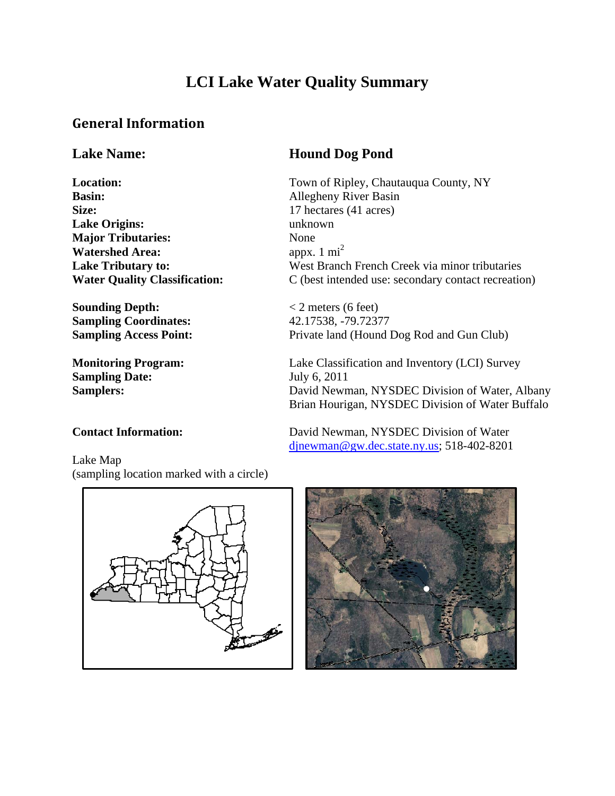# **LCI Lake Water Quality Summary**

## **General Information**

**Basin:** Allegheny River Basin **Size:** 17 hectares (41 acres) **Lake Origins:** unknown **Major Tributaries:** None **Watershed Area:**  $a^{2}$  appx. 1 mi<sup>2</sup>

**Sounding Depth:**  $\langle 2 \text{ meters (6 feet)} \rangle$ **Sampling Coordinates:** 42.17538, -79.72377

**Sampling Date:** July 6, 2011

# **Lake Name: Hound Dog Pond**

**Location:** Town of Ripley, Chautauqua County, NY Lake Tributary to: West Branch French Creek via minor tributaries **Water Quality Classification:** C (best intended use: secondary contact recreation)

**Sampling Access Point:** Private land (Hound Dog Rod and Gun Club)

djnewman@gw.dec.state.ny.us; 518-402-8201

**Monitoring Program:** Lake Classification and Inventory (LCI) Survey Samplers: David Newman, NYSDEC Division of Water, Albany Brian Hourigan, NYSDEC Division of Water Buffalo

#### **Contact Information:** David Newman, NYSDEC Division of Water

Lake Map (sampling location marked with a circle)



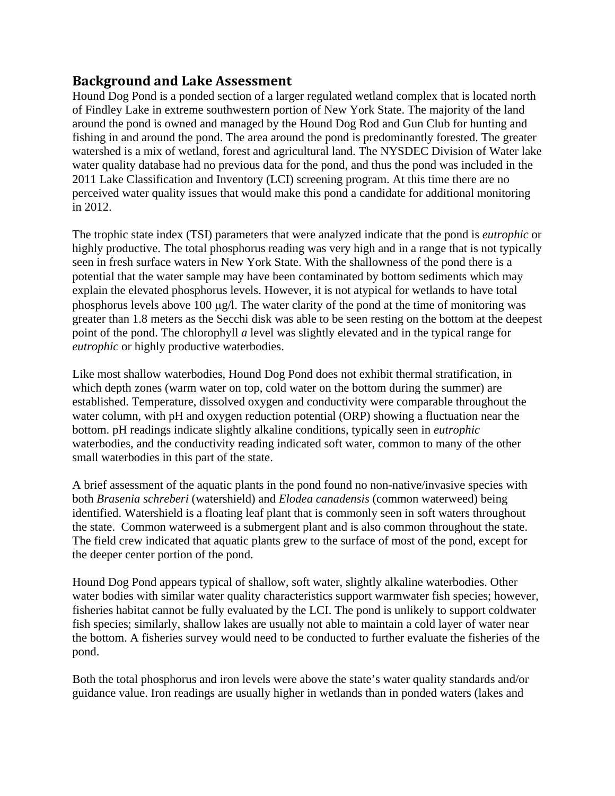### **Background and Lake Assessment**

Hound Dog Pond is a ponded section of a larger regulated wetland complex that is located north of Findley Lake in extreme southwestern portion of New York State. The majority of the land around the pond is owned and managed by the Hound Dog Rod and Gun Club for hunting and fishing in and around the pond. The area around the pond is predominantly forested. The greater watershed is a mix of wetland, forest and agricultural land. The NYSDEC Division of Water lake water quality database had no previous data for the pond, and thus the pond was included in the 2011 Lake Classification and Inventory (LCI) screening program. At this time there are no perceived water quality issues that would make this pond a candidate for additional monitoring in 2012.

The trophic state index (TSI) parameters that were analyzed indicate that the pond is *eutrophic* or highly productive. The total phosphorus reading was very high and in a range that is not typically seen in fresh surface waters in New York State. With the shallowness of the pond there is a potential that the water sample may have been contaminated by bottom sediments which may explain the elevated phosphorus levels. However, it is not atypical for wetlands to have total phosphorus levels above 100 μg/l. The water clarity of the pond at the time of monitoring was greater than 1.8 meters as the Secchi disk was able to be seen resting on the bottom at the deepest point of the pond. The chlorophyll *a* level was slightly elevated and in the typical range for *eutrophic* or highly productive waterbodies.

Like most shallow waterbodies, Hound Dog Pond does not exhibit thermal stratification, in which depth zones (warm water on top, cold water on the bottom during the summer) are established. Temperature, dissolved oxygen and conductivity were comparable throughout the water column, with pH and oxygen reduction potential (ORP) showing a fluctuation near the bottom. pH readings indicate slightly alkaline conditions, typically seen in *eutrophic*  waterbodies, and the conductivity reading indicated soft water, common to many of the other small waterbodies in this part of the state.

A brief assessment of the aquatic plants in the pond found no non-native/invasive species with both *Brasenia schreberi* (watershield) and *Elodea canadensis* (common waterweed) being identified. Watershield is a floating leaf plant that is commonly seen in soft waters throughout the state. Common waterweed is a submergent plant and is also common throughout the state. The field crew indicated that aquatic plants grew to the surface of most of the pond, except for the deeper center portion of the pond.

Hound Dog Pond appears typical of shallow, soft water, slightly alkaline waterbodies. Other water bodies with similar water quality characteristics support warmwater fish species; however, fisheries habitat cannot be fully evaluated by the LCI. The pond is unlikely to support coldwater fish species; similarly, shallow lakes are usually not able to maintain a cold layer of water near the bottom. A fisheries survey would need to be conducted to further evaluate the fisheries of the pond.

Both the total phosphorus and iron levels were above the state's water quality standards and/or guidance value. Iron readings are usually higher in wetlands than in ponded waters (lakes and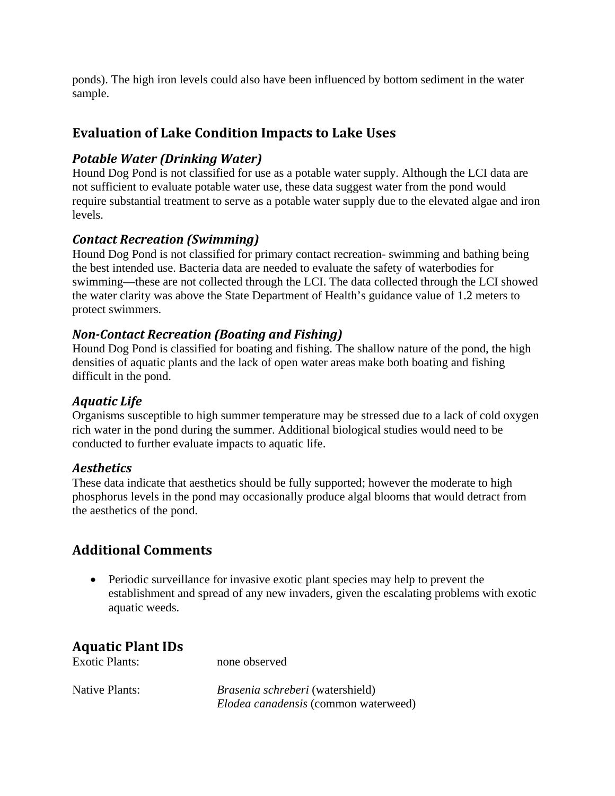ponds). The high iron levels could also have been influenced by bottom sediment in the water sample.

## **Evaluation of Lake Condition Impacts to Lake Uses**

#### *Potable Water (Drinking Water)*

Hound Dog Pond is not classified for use as a potable water supply. Although the LCI data are not sufficient to evaluate potable water use, these data suggest water from the pond would require substantial treatment to serve as a potable water supply due to the elevated algae and iron levels.

#### *Contact Recreation (Swimming)*

Hound Dog Pond is not classified for primary contact recreation- swimming and bathing being the best intended use. Bacteria data are needed to evaluate the safety of waterbodies for swimming—these are not collected through the LCI. The data collected through the LCI showed the water clarity was above the State Department of Health's guidance value of 1.2 meters to protect swimmers.

#### *NonContact Recreation (Boating and Fishing)*

Hound Dog Pond is classified for boating and fishing. The shallow nature of the pond, the high densities of aquatic plants and the lack of open water areas make both boating and fishing difficult in the pond.

#### *Aquatic Life*

Organisms susceptible to high summer temperature may be stressed due to a lack of cold oxygen rich water in the pond during the summer. Additional biological studies would need to be conducted to further evaluate impacts to aquatic life.

#### *Aesthetics*

These data indicate that aesthetics should be fully supported; however the moderate to high phosphorus levels in the pond may occasionally produce algal blooms that would detract from the aesthetics of the pond.

### **Additional Comments**

• Periodic surveillance for invasive exotic plant species may help to prevent the establishment and spread of any new invaders, given the escalating problems with exotic aquatic weeds.

### **Aquatic Plant IDs**

| <b>Exotic Plants:</b> | none observed                               |  |
|-----------------------|---------------------------------------------|--|
| Native Plants:        | <i>Brasenia schreberi</i> (watershield)     |  |
|                       | <i>Elodea canadensis</i> (common waterweed) |  |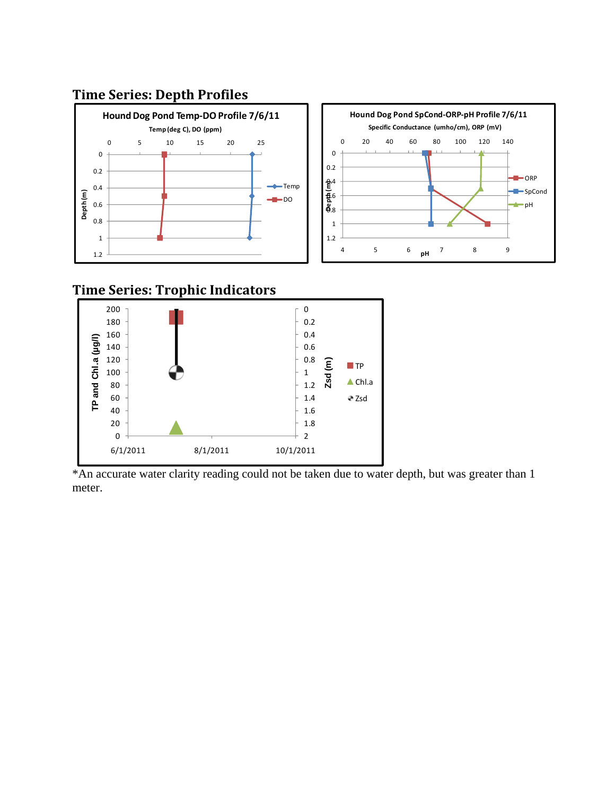## **Time Series: Depth Profiles**



# **Time Series: Trophic Indicators**



\*An accurate water clarity reading could not be taken due to water depth, but was greater than 1 meter.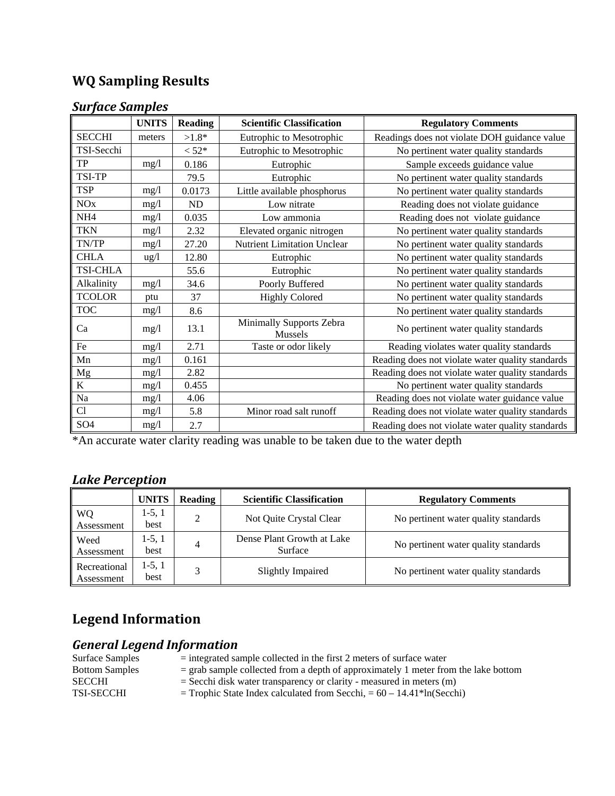# **WQ Sampling Results**

### *Surface Samples*

|                 | <b>UNITS</b>    | <b>Reading</b> | <b>Scientific Classification</b>    | <b>Regulatory Comments</b>                       |
|-----------------|-----------------|----------------|-------------------------------------|--------------------------------------------------|
| <b>SECCHI</b>   | meters          | $>1.8*$        | Eutrophic to Mesotrophic            | Readings does not violate DOH guidance value     |
| TSI-Secchi      |                 | $< 52*$        | Eutrophic to Mesotrophic            | No pertinent water quality standards             |
| TP              | mg/l            | 0.186          | Eutrophic                           | Sample exceeds guidance value                    |
| TSI-TP          |                 | 79.5           | Eutrophic                           | No pertinent water quality standards             |
| <b>TSP</b>      | mg/l            | 0.0173         | Little available phosphorus         | No pertinent water quality standards             |
| <b>NOx</b>      | mg/1            | ND             | Low nitrate                         | Reading does not violate guidance                |
| NH <sub>4</sub> | mg/1            | 0.035          | Low ammonia                         | Reading does not violate guidance                |
| <b>TKN</b>      | mg/l            | 2.32           | Elevated organic nitrogen           | No pertinent water quality standards             |
| TN/TP           | mg/1            | 27.20          | <b>Nutrient Limitation Unclear</b>  | No pertinent water quality standards             |
| <b>CHLA</b>     | $\frac{u g}{l}$ | 12.80          | Eutrophic                           | No pertinent water quality standards             |
| <b>TSI-CHLA</b> |                 | 55.6           | Eutrophic                           | No pertinent water quality standards             |
| Alkalinity      | mg/l            | 34.6           | Poorly Buffered                     | No pertinent water quality standards             |
| <b>TCOLOR</b>   | ptu             | 37             | <b>Highly Colored</b>               | No pertinent water quality standards             |
| <b>TOC</b>      | mg/l            | 8.6            |                                     | No pertinent water quality standards             |
| Ca              | mg/l            | 13.1           | Minimally Supports Zebra<br>Mussels | No pertinent water quality standards             |
| Fe              | mg/1            | 2.71           | Taste or odor likely                | Reading violates water quality standards         |
| Mn              | mg/l            | 0.161          |                                     | Reading does not violate water quality standards |
| Mg              | mg/l            | 2.82           |                                     | Reading does not violate water quality standards |
| $\bf K$         | mg/l            | 0.455          |                                     | No pertinent water quality standards             |
| Na              | mg/1            | 4.06           |                                     | Reading does not violate water guidance value    |
| Cl              | mg/l            | 5.8            | Minor road salt runoff              | Reading does not violate water quality standards |
| SO <sub>4</sub> | mg/1            | 2.7            |                                     | Reading does not violate water quality standards |

\*An accurate water clarity reading was unable to be taken due to the water depth

# *Lake Perception*

|                            | <b>UNITS</b>     | <b>Reading</b> | <b>Scientific Classification</b>      | <b>Regulatory Comments</b>           |
|----------------------------|------------------|----------------|---------------------------------------|--------------------------------------|
| <b>WQ</b><br>Assessment    | $1-5, 1$<br>best |                | Not Quite Crystal Clear               | No pertinent water quality standards |
| Weed<br>Assessment         | 1-5, 1<br>best   | 4              | Dense Plant Growth at Lake<br>Surface | No pertinent water quality standards |
| Recreational<br>Assessment | $1-5, 1$<br>best |                | Slightly Impaired                     | No pertinent water quality standards |

# **Legend Information**

## *General Legend Information*

| Surface Samples       | $=$ integrated sample collected in the first 2 meters of surface water                 |
|-----------------------|----------------------------------------------------------------------------------------|
| <b>Bottom Samples</b> | $=$ grab sample collected from a depth of approximately 1 meter from the lake bottom   |
| SECCHI                | $=$ Secchi disk water transparency or clarity - measured in meters $(m)$               |
| TSI-SECCHI            | $=$ Trophic State Index calculated from Secchi, $= 60 - 14.41$ <sup>*</sup> ln(Secchi) |
|                       |                                                                                        |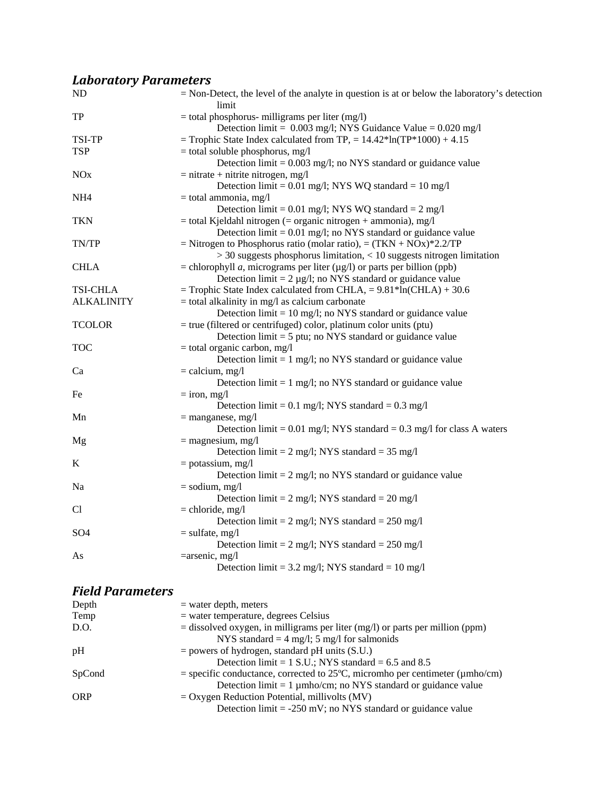# *Laboratory Parameters*

| ND                | $=$ Non-Detect, the level of the analyte in question is at or below the laboratory's detection<br>limit |
|-------------------|---------------------------------------------------------------------------------------------------------|
| TP                | $=$ total phosphorus- milligrams per liter (mg/l)                                                       |
|                   | Detection limit = $0.003$ mg/l; NYS Guidance Value = $0.020$ mg/l                                       |
| TSI-TP            | = Trophic State Index calculated from TP, = $14.42*ln(TP*1000) + 4.15$                                  |
| <b>TSP</b>        | $=$ total soluble phosphorus, mg/l                                                                      |
|                   | Detection limit = 0.003 mg/l; no NYS standard or guidance value                                         |
| <b>NOx</b>        | $=$ nitrate + nitrite nitrogen, mg/l                                                                    |
|                   | Detection limit = $0.01$ mg/l; NYS WQ standard = $10$ mg/l                                              |
| NH <sub>4</sub>   | $=$ total ammonia, mg/l                                                                                 |
|                   | Detection limit = $0.01$ mg/l; NYS WQ standard = $2$ mg/l                                               |
| <b>TKN</b>        | $=$ total Kjeldahl nitrogen ( $=$ organic nitrogen $+$ ammonia), mg/l                                   |
|                   | Detection $\lim_{t=0} 0.01$ mg/l; no NYS standard or guidance value                                     |
| TN/TP             | = Nitrogen to Phosphorus ratio (molar ratio), = $(TKN + NOx)*2.2/TP$                                    |
|                   | $>$ 30 suggests phosphorus limitation, $<$ 10 suggests nitrogen limitation                              |
| <b>CHLA</b>       | = chlorophyll <i>a</i> , micrograms per liter ( $\mu$ g/l) or parts per billion (ppb)                   |
|                   | Detection limit = $2 \mu g/l$ ; no NYS standard or guidance value                                       |
| <b>TSI-CHLA</b>   | = Trophic State Index calculated from CHLA, = $9.81*ln(CHLA) + 30.6$                                    |
| <b>ALKALINITY</b> | $=$ total alkalinity in mg/l as calcium carbonate                                                       |
|                   | Detection $\text{limit} = 10 \text{ mg/l}$ ; no NYS standard or guidance value                          |
| <b>TCOLOR</b>     | $=$ true (filtered or centrifuged) color, platinum color units (ptu)                                    |
|                   | Detection $\text{limit} = 5 \text{ put}$ ; no NYS standard or guidance value                            |
| <b>TOC</b>        | $=$ total organic carbon, mg/l                                                                          |
|                   | Detection $\lim_{t=1}$ mg/l; no NYS standard or guidance value                                          |
| Ca                | $=$ calcium, mg/l                                                                                       |
|                   | Detection $\text{limit} = 1 \text{ mg/l}$ ; no NYS standard or guidance value                           |
| Fe                | $=$ iron, mg/l                                                                                          |
|                   | Detection limit = $0.1$ mg/l; NYS standard = $0.3$ mg/l                                                 |
| Mn                | $=$ manganese, mg/l                                                                                     |
|                   | Detection limit = $0.01$ mg/l; NYS standard = $0.3$ mg/l for class A waters                             |
| Mg                | $=$ magnesium, mg/l                                                                                     |
|                   | Detection limit = $2 \text{ mg/l}$ ; NYS standard = 35 mg/l                                             |
| K                 | $=$ potassium, mg/l                                                                                     |
|                   | Detection $\text{limit} = 2 \text{ mg/l}$ ; no NYS standard or guidance value                           |
| Na                | $=$ sodium, mg/l                                                                                        |
|                   | Detection limit = $2 \text{ mg/l}$ ; NYS standard = $20 \text{ mg/l}$                                   |
| Cl                | $=$ chloride, mg/l                                                                                      |
|                   | Detection limit = $2 \text{ mg/l}$ ; NYS standard = $250 \text{ mg/l}$                                  |
| SO <sub>4</sub>   | $=$ sulfate, mg/l                                                                                       |
|                   | Detection limit = $2 \text{ mg/l}$ ; NYS standard = $250 \text{ mg/l}$                                  |
| As                | $=$ arsenic, mg/l                                                                                       |
|                   | Detection limit = 3.2 mg/l; NYS standard = 10 mg/l                                                      |
|                   |                                                                                                         |

## *Field Parameters*

| Depth      | $=$ water depth, meters                                                                      |
|------------|----------------------------------------------------------------------------------------------|
| Temp       | $=$ water temperature, degrees Celsius                                                       |
| D.O.       | $=$ dissolved oxygen, in milligrams per liter (mg/l) or parts per million (ppm)              |
|            | NYS standard = $4 \text{ mg/l}$ ; 5 mg/l for salmonids                                       |
| pH         | $=$ powers of hydrogen, standard pH units (S.U.)                                             |
|            | Detection limit = $1$ S.U.; NYS standard = 6.5 and 8.5                                       |
| SpCond     | = specific conductance, corrected to 25 $\degree$ C, micromho per centimeter ( $\mu$ mho/cm) |
|            | Detection $\text{limit} = 1 \mu \text{mho/cm}$ ; no NYS standard or guidance value           |
| <b>ORP</b> | $=$ Oxygen Reduction Potential, millivolts (MV)                                              |
|            | Detection $\text{limit} = -250 \text{ mV}$ ; no NYS standard or guidance value               |
|            |                                                                                              |